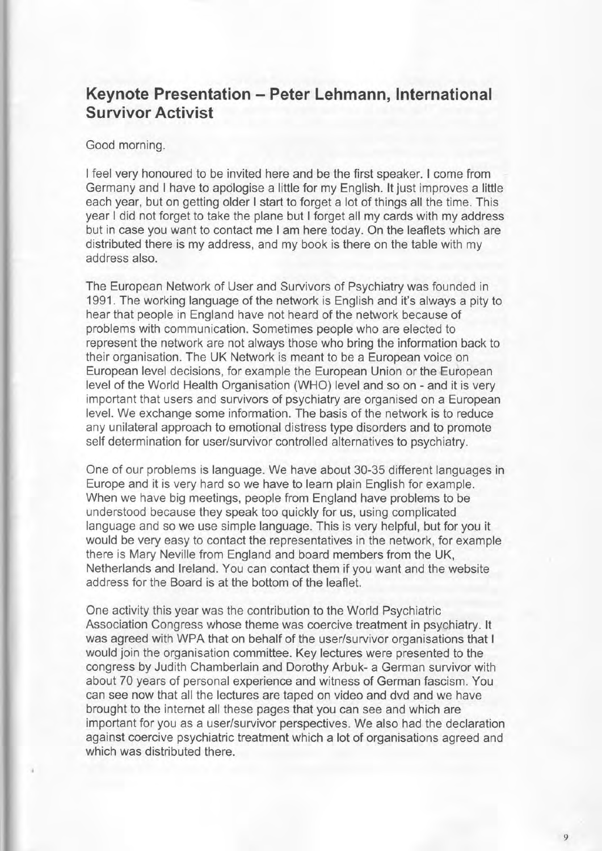## Keynote Presentation - Peter Lehmann, International Survivor Activist

## Good morning.

I feel very honoured to be invited here and be the first speaker. I come from Germany and I have to apologise a little for my English. It just improves a little each year, but on getting older I start to forget a lot of things all the time. This year I did not forget to take the plane but I forget all my cards with my address but in case you want to contact me I am here today. On the leaflets which are distributed there is my address, and my book is there on the table with my address also.

The European Network of User and Survivors of Psychiatry was founded in 1991 . The working language of the network is English and it's always a pity to hear that people in England have not heard of the network because of problems with communication. Sometimes people who are elected to represent the network are not always those who bring the information back to their organisation. The UK Network is meant to be a European voice on European level decisions, for example the European Union or the European level of the World Health Organisation (WHO) level and so on - and it is very important that users and survivors of psychiatry are organised on a European level. We exchange some information. The basis of the network is to reduce any unilateral approach to emotional distress type disorders and to promote self determination for user/survivor controlled alternatives to psychiatry.

One of our problems is language. We have about 30-35 different languages in Europe and it is very hard so we have to learn plain English for example. When we have big meetings, people from England have problems to be understood because they speak too quickly for us, using complicated language and so we use simple language. This is very helpful, but for you it would be very easy to contact the representatives in the network, for example there is Mary Neville from England and board members from the UK, Netherlands and lreland. You can contact them if you want and the website address for the Board is at the bottom of the leaflet.

One activity this year was the contribution tothe World Psychiatric Association Congress whose theme was coercive treatment in psychiatry. lt was agreed with WPA that on behalf of the user/survivor organisations that I would join the organisation committee. Key lectures were presented to the congress by Judith Chamberlain and Dorothy Arbuk- a German survivor with about 70 years of personal experience and witness of German fascism. You can see now that all the lectures are taped on video and dvd and we have brought to the internet all these pages that you can see and which are important for you as a user/survivor perspectives. We also had the declaration against coercive psychiatric treatment which a lot of organisations agreed and which was distributed there.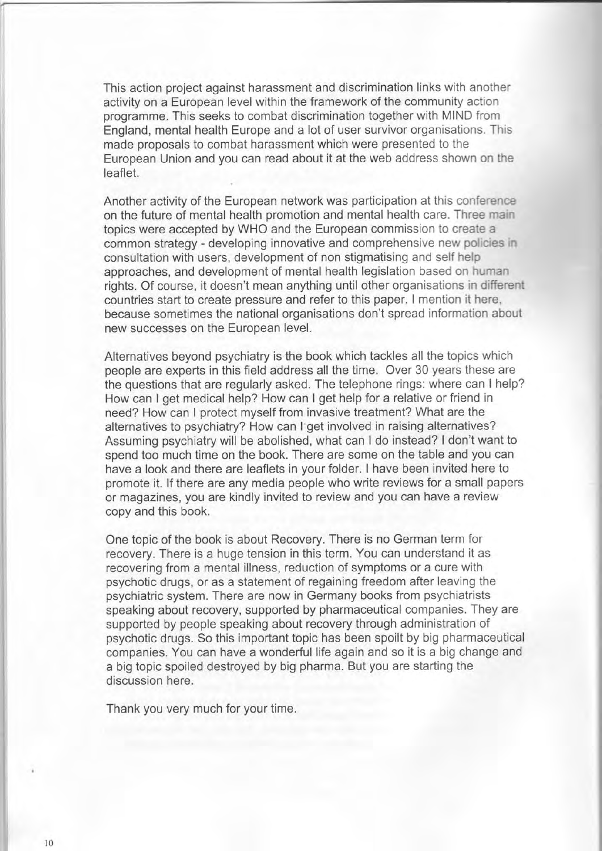This action project against harassment and discrimination links with another activity on a European level within the framework of the community action programme. This seeks to combat discrimination together with MIND from England, mental health Europe and a lot of user survivor organisations. This made proposals to combat harassment which were presented to the European Union and you can read about it at the web address shown on the leaflet.

Another activity of the European network was participation at this conference on the future of mental health promotion and mental health care. Three main topics were accepted by WHO and the European commission to create a common strategy - developing innovative and comprehensive new policies in consultation with users, development of non stigmatising and self help approaches, and development of mental health legislation based on human rights. Of course, it doesn't mean anything until other organisations in different countries start to create pressure and refer to this paper. I mention it here, because sometimes the national organisations don't spread information about new successes on the European level.

Alternatives beyond psychiatry is the book which tackles all the topics which people are experts in this field address all the time. Over 30 years these are the questions that are regularly asked. The telephone rings: where can I help? How can I get medical help? How can I get help for a relative or friend in need? How can I protect myself from invasive treatment? What are the alternatives to psychiatry? How can I get involved in raising alternatives? Assuming psychiatry will be abolished, what can I do instead? I don't want to spend too much time on the book. There are some on the table and you can have a look and there are leaflets in your folder. I have been invited here to promote it. lf there are any media people who write reviews for a small papers or magazines, you are kindly invited to review and you can have a review copy and this book.

One topic of the book is about Recovery. There is no German term for recovery. There is a huge tension in this term. You can understand it as recovering from a mental illness, reduction of symptoms or a cure with psychotic drugs, or as a statement of regaining freedom after leaving the psychiatric system. There are now in Germany books from psychiatrists speaking about recovery, supported by pharmaceutical companies. They are supported by people speaking about recovery through administration of psychotic drugs. So this important topic has been spoilt by big pharmaceutical companies. You can have a wonderful life again and so it is a big change and a big topic spoiled destroyed by big pharma. But you are starting the discussion here.

Thank you very much for your time.